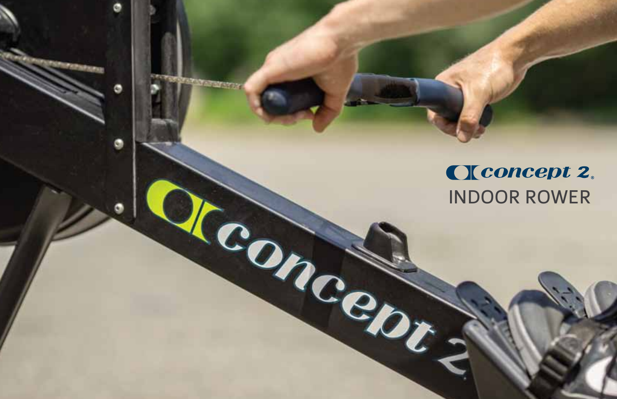## Cleoncept 2. INDOOR ROWER

Ġ.

**Conce**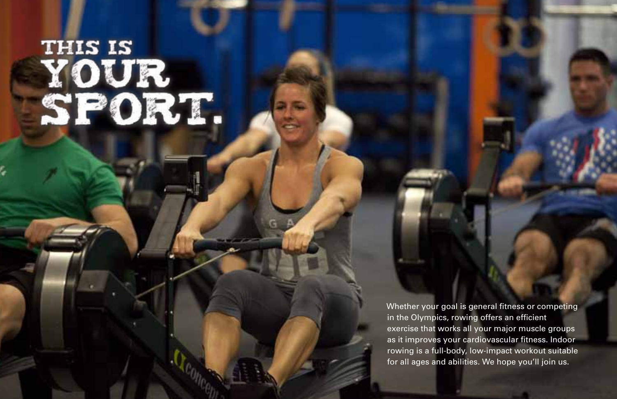# THIS IS<br>YOUR<br>SPORT.

Whether your goal is general fitness or competing in the Olympics, rowing offers an efficient exercise that works all your major muscle groups as it improves your cardiovascular fitness. Indoor rowing is a full-body, low-impact workout suitable for all ages and abilities. We hope you'll join us.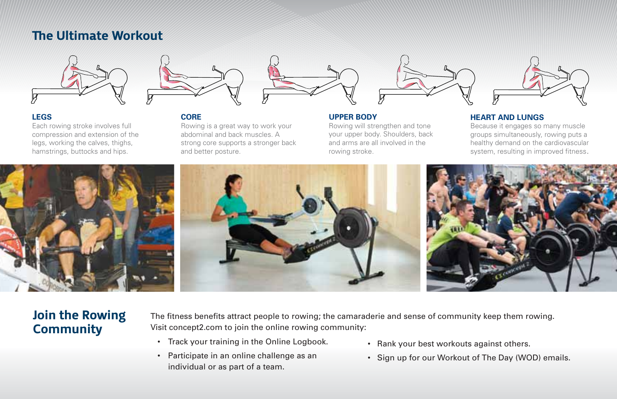## The Ultimate Workout





#### **LEGS**

Each rowing stroke involves full compression and extension of the legs, working the calves, thighs, hamstrings, buttocks and hips.

**CORE**  Rowing is a great way to work your abdominal and back muscles. A strong core supports a stronger back and better posture.



#### **UPPER BODY**

Rowing will strengthen and tone your upper body. Shoulders, back and arms are all involved in the rowing stroke.



#### **HEART AND LUNGS**

Because it engages so many muscle groups simultaneously, rowing puts a healthy demand on the cardiovascular system, resulting in improved fitness.



## Join the Rowing **Community**

The fitness benefits attract people to rowing; the camaraderie and sense of community keep them rowing. Visit concept2.com to join the online rowing community:

- Track your training in the Online Logbook.
- Participate in an online challenge as an individual or as part of a team.
- Rank your best workouts against others.
- Sign up for our Workout of The Day (WOD) emails.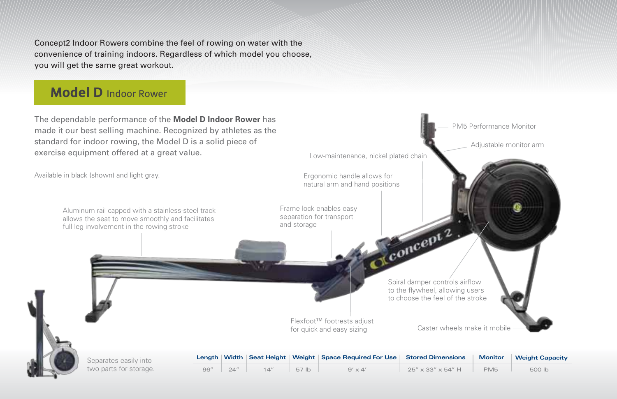Concept2 Indoor Rowers combine the feel of rowing on water with the convenience of training indoors. Regardless of which model you choose, you will get the same great workout.

## Model D Indoor Rower

The dependable performance of the **Model D Indoor Rower** has made it our best selling machine. Recognized by athletes as the standard for indoor rowing, the Model D is a solid piece of exercise equipment offered at a great value.



| Separates easily into  |  |  |
|------------------------|--|--|
| two parts for storage. |  |  |

|     |      |     |       | Length Width   Seat Height   Weight   Space Required For Use   Stored Dimensions   Monitor   Weight Capacity |                                  |                 |        |
|-----|------|-----|-------|--------------------------------------------------------------------------------------------------------------|----------------------------------|-----------------|--------|
| 96" | 24'' | 14" | 57 lb | $9' \times 4'$                                                                                               | $25'' \times 33'' \times 54''$ H | PM <sub>5</sub> | 500 lb |

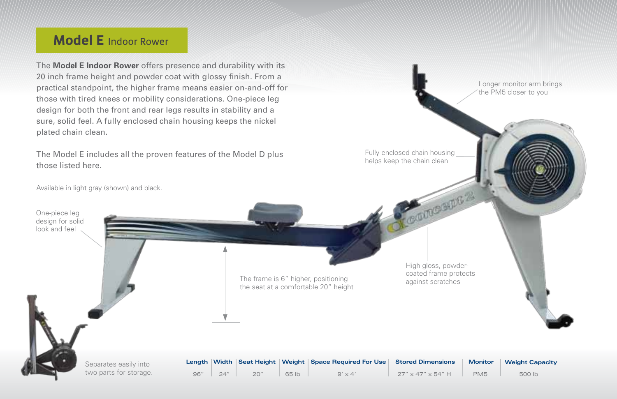## Model E Indoor Rower

The **Model E Indoor Rower** offers presence and durability with its 20 inch frame height and powder coat with glossy finish. From a practical standpoint, the higher frame means easier on-and-off for those with tired knees or mobility considerations. One-piece leg design for both the front and rear legs results in stability and a sure, solid feel. A fully enclosed chain housing keeps the nickel plated chain clean.

The Model E includes all the proven features of the Model D plus those listed here.

Available in light gray (shown) and black.

Separates easily into two parts for storage.

One-piece leg design for solid look and feel

> The frame is 6" higher, positioning against scratches the seat at a comfortable 20" height

High gloss, powdercoated frame protects

COUNCRATE 2

Fully enclosed chain housing helps keep the chain clean

Longer monitor arm brings the PM5 closer to you

|  |                      |       | Length   Width   Seat Height   Weight   Space Required For Use   Stored Dimensions   Monitor   Weight Capacity |                      |     |        |
|--|----------------------|-------|----------------------------------------------------------------------------------------------------------------|----------------------|-----|--------|
|  | $96''$ $24''$ $20''$ | 65 lb | $9' \times 4'$                                                                                                 | $27''$ x 47" x 54" H | PM5 | 500 lb |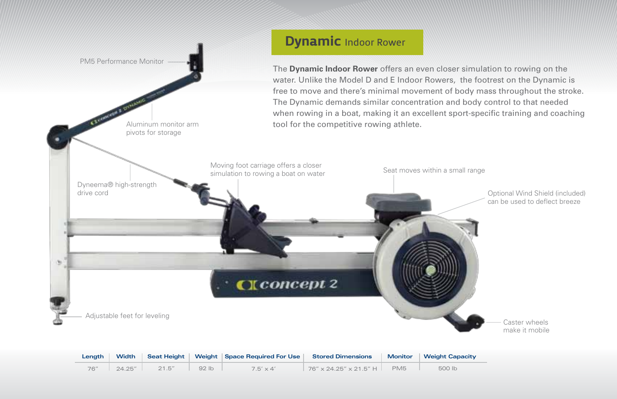

| Lenath | Width  |        |      | Seat Height   Weight   Space Required For Use   Stored Dimensions |                                       |                 | Monitor Weight Capacity |
|--------|--------|--------|------|-------------------------------------------------------------------|---------------------------------------|-----------------|-------------------------|
| 76''   | 24.25" | 21.5'' | 92 h | $7.5' \times 4'$                                                  | $76'' \times 24.25'' \times 21.5''$ H | PM <sub>5</sub> | 500 lb                  |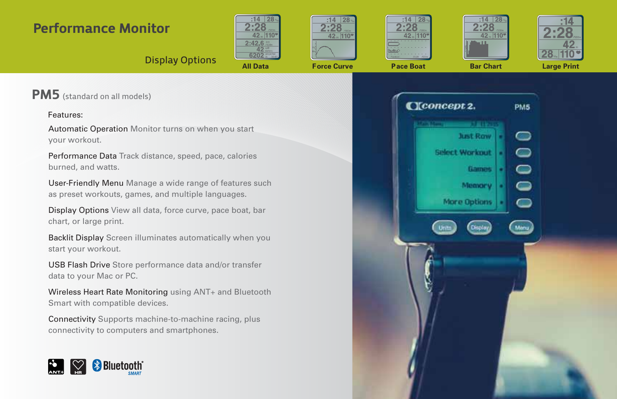## Performance Monitor











## **Display Options All Data Force Curve Pace Boat Bar Chart Large Print**

PM5 (standard on all models)

#### Features:

Automatic Operation Monitor turns on when you start your workout.

Performance Data Track distance, speed, pace, calories burned, and watts.

User-Friendly Menu Manage a wide range of features such as preset workouts, games, and multiple languages.

Display Options View all data, force curve, pace boat, bar chart, or large print.

Backlit Display Screen illuminates automatically when you start your workout.

USB Flash Drive Store performance data and/or transfer data to your Mac or PC.

Wireless Heart Rate Monitoring using ANT+ and Bluetooth Smart with compatible devices.

Connectivity Supports machine-to-machine racing, plus connectivity to computers and smartphones.